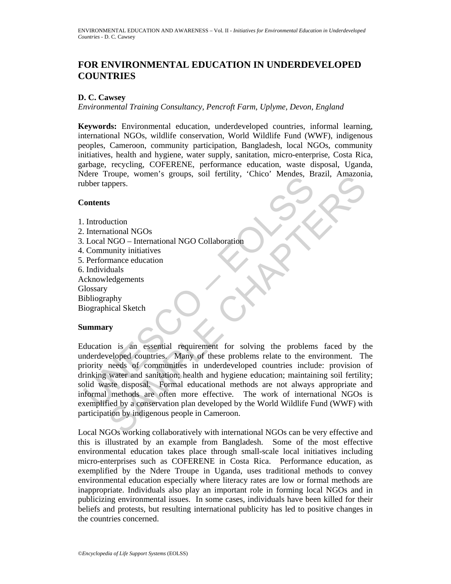# **FOR ENVIRONMENTAL EDUCATION IN UNDERDEVELOPED COUNTRIES**

## **D. C. Cawsey**

*Environmental Training Consultancy, Pencroft Farm, Uplyme, Devon, England* 

**Keywords:** Environmental education, underdeveloped countries, informal learning, international NGOs, wildlife conservation, World Wildlife Fund (WWF), indigenous peoples, Cameroon, community participation, Bangladesh, local NGOs, community initiatives, health and hygiene, water supply, sanitation, micro-enterprise, Costa Rica, garbage, recycling, COFERENE, performance education, waste disposal, Uganda, Ndere Troupe, women's groups, soil fertility, 'Chico' Mendes, Brazil, Amazonia, rubber tappers.

### **Contents**

- 1. Introduction
- 2. International NGOs
- 3. Local NGO International NGO Collaboration
- 4. Community initiatives
- 5. Performance education
- 6. Individuals
- Acknowledgements
- **Glossary**
- Bibliography

Biographical Sketch

### **Summary**

Contents<br>
Under trappers.<br>
Under the presence of the and NGO Collaboration<br>
International NGO Collaboration<br>
Under the collaboration<br>
Under the community initiatives<br>
Under the Under Community initiatives<br>
Under the Underd From the stronger of the methods of the strength of the strength of the strength of the strength of the strength of the strength of the strength of the strength of the strength of the strength of the strength of the streng Education is an essential requirement for solving the problems faced by the underdeveloped countries. Many of these problems relate to the environment. The priority needs of communities in underdeveloped countries include: provision of drinking water and sanitation; health and hygiene education; maintaining soil fertility; solid waste disposal. Formal educational methods are not always appropriate and informal methods are often more effective. The work of international NGOs is exemplified by a conservation plan developed by the World Wildlife Fund (WWF) with participation by indigenous people in Cameroon.

Local NGOs working collaboratively with international NGOs can be very effective and this is illustrated by an example from Bangladesh. Some of the most effective environmental education takes place through small-scale local initiatives including micro-enterprises such as COFERENE in Costa Rica. Performance education, as exemplified by the Ndere Troupe in Uganda, uses traditional methods to convey environmental education especially where literacy rates are low or formal methods are inappropriate. Individuals also play an important role in forming local NGOs and in publicizing environmental issues. In some cases, individuals have been killed for their beliefs and protests, but resulting international publicity has led to positive changes in the countries concerned.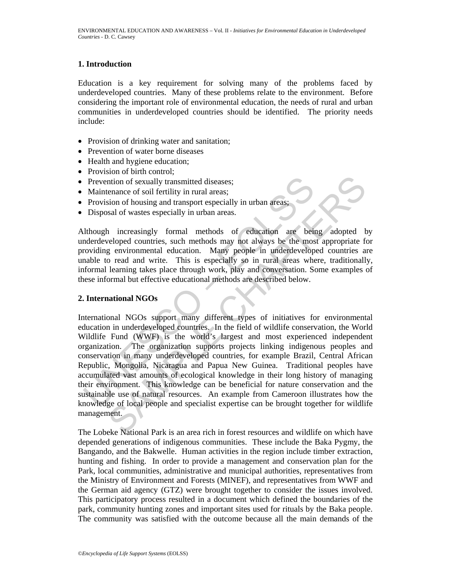## **1. Introduction**

Education is a key requirement for solving many of the problems faced by underdeveloped countries. Many of these problems relate to the environment. Before considering the important role of environmental education, the needs of rural and urban communities in underdeveloped countries should be identified. The priority needs include:

- Provision of drinking water and sanitation;
- Prevention of water borne diseases
- Health and hygiene education;
- Provision of birth control:
- Prevention of sexually transmitted diseases;
- Maintenance of soil fertility in rural areas;
- Provision of housing and transport especially in urban areas;
- Disposal of wastes especially in urban areas.

Although increasingly formal methods of education are being adopted by underdeveloped countries, such methods may not always be the most appropriate for providing environmental education. Many people in underdeveloped countries are unable to read and write. This is especially so in rural areas where, traditionally, informal learning takes place through work, play and conversation. Some examples of these informal but effective educational methods are described below.

### **2. International NGOs**

Prevention of sexually transmitted diseases;<br>
Maintenance of soil fertility in rural areas;<br>
Provision of housing and transport especially in urban areas;<br>
Disposal of wastes especially in urban areas.<br>
Ulthough increasing mion of sexually transmitted diseases;<br>
enance of soil fertility in rural areas;<br>
enance of soil fertility in rural areas;<br>
sal of wastes especially in urban areas.<br>
and of wastes especially in urban areas.<br>
and of wastes International NGOs support many different types of initiatives for environmental education in underdeveloped countries. In the field of wildlife conservation, the World Wildlife Fund (WWF) is the world's largest and most experienced independent organization. The organization supports projects linking indigenous peoples and conservation in many underdeveloped countries, for example Brazil, Central African Republic, Mongolia, Nicaragua and Papua New Guinea. Traditional peoples have accumulated vast amounts of ecological knowledge in their long history of managing their environment. This knowledge can be beneficial for nature conservation and the sustainable use of natural resources. An example from Cameroon illustrates how the knowledge of local people and specialist expertise can be brought together for wildlife management.

The Lobeke National Park is an area rich in forest resources and wildlife on which have depended generations of indigenous communities. These include the Baka Pygmy, the Bangando, and the Bakwelle. Human activities in the region include timber extraction, hunting and fishing. In order to provide a management and conservation plan for the Park, local communities, administrative and municipal authorities, representatives from the Ministry of Environment and Forests (MINEF), and representatives from WWF and the German aid agency (GTZ) were brought together to consider the issues involved. This participatory process resulted in a document which defined the boundaries of the park, community hunting zones and important sites used for rituals by the Baka people. The community was satisfied with the outcome because all the main demands of the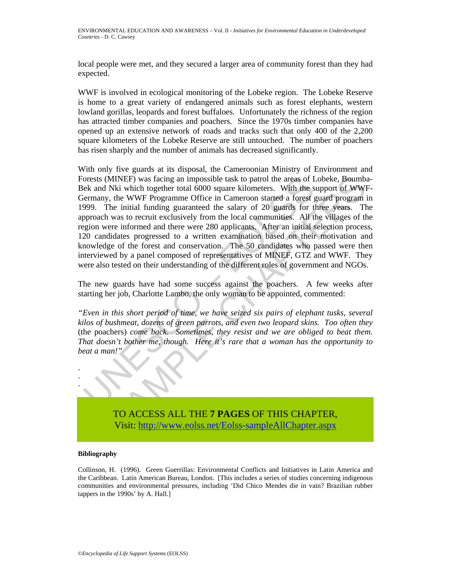local people were met, and they secured a larger area of community forest than they had expected.

WWF is involved in ecological monitoring of the Lobeke region. The Lobeke Reserve is home to a great variety of endangered animals such as forest elephants, western lowland gorillas, leopards and forest buffaloes. Unfortunately the richness of the region has attracted timber companies and poachers. Since the 1970s timber companies have opened up an extensive network of roads and tracks such that only 400 of the 2,200 square kilometers of the Lobeke Reserve are still untouched. The number of poachers has risen sharply and the number of animals has decreased significantly.

orests (MINEF) was facing an impossible task to patrol the areas of I<br>ek and Nki which together total 6000 square kilometers. With the seemany, the WWF Programme Office in Cameroon started a forest<br>eyernamy, the WWF Progra MINEF) was facing an impossible task to patrol the areas of Lobeke, Boumbs NKi which together total 6000 square kilometers. With the support of WWM; the WWF Programm Office in Cameroon started a forest guard program The in With only five guards at its disposal, the Cameroonian Ministry of Environment and Forests (MINEF) was facing an impossible task to patrol the areas of Lobeke, Boumba-Bek and Nki which together total 6000 square kilometers. With the support of WWF-Germany, the WWF Programme Office in Cameroon started a forest guard program in 1999. The initial funding guaranteed the salary of 20 guards for three years. The approach was to recruit exclusively from the local communities. All the villages of the region were informed and there were 280 applicants. After an initial selection process, 120 candidates progressed to a written examination based on their motivation and knowledge of the forest and conservation. The 50 candidates who passed were then interviewed by a panel composed of representatives of MINEF, GTZ and WWF. They were also tested on their understanding of the different roles of government and NGOs.

The new guards have had some success against the poachers. A few weeks after starting her job, Charlotte Lambo, the only woman to be appointed, commented:

*"Even in this short period of time, we have seized six pairs of elephant tusks, several kilos of bushmeat, dozens of green parrots, and even two leopard skins. Too often they*  (the poachers) *come back. Sometimes, they resist and we are obliged to beat them. That doesn't bother me, though. Here it's rare that a woman has the opportunity to beat a man!"* 

> TO ACCESS ALL THE **7 PAGES** OF THIS CHAPTER, Visit: http://www.eolss.net/Eolss-sampleAllChapter.aspx

#### **Bibliography**

- - -

Collinson, H. (1996). Green Guerrillas: Environmental Conflicts and Initiatives in Latin America and the Caribbean. Latin American Bureau, London. [This includes a series of studies concerning indigenous communities and environmental pressures, including 'Did Chico Mendes die in vain? Brazilian rubber tappers in the 1990s' by A. Hall.]